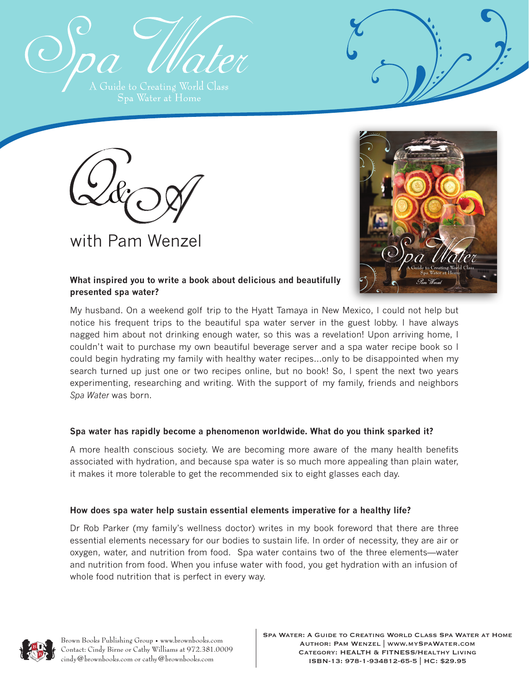





**What inspired you to write a book about delicious and beautifully presented spa water?**

My husband. On a weekend golf trip to the Hyatt Tamaya in New Mexico, I could not help but notice his frequent trips to the beautiful spa water server in the guest lobby. I have always nagged him about not drinking enough water, so this was a revelation! Upon arriving home, I couldn't wait to purchase my own beautiful beverage server and a spa water recipe book so I could begin hydrating my family with healthy water recipes…only to be disappointed when my search turned up just one or two recipes online, but no book! So, I spent the next two years experimenting, researching and writing. With the support of my family, friends and neighbors *Spa Water* was born.

# **Spa water has rapidly become a phenomenon worldwide. What do you think sparked it?**

A more health conscious society. We are becoming more aware of the many health benefits associated with hydration, and because spa water is so much more appealing than plain water, it makes it more tolerable to get the recommended six to eight glasses each day.

# **How does spa water help sustain essential elements imperative for a healthy life?**

Dr Rob Parker (my family's wellness doctor) writes in my book foreword that there are three essential elements necessary for our bodies to sustain life. In order of necessity, they are air or oxygen, water, and nutrition from food. Spa water contains two of the three elements—water and nutrition from food. When you infuse water with food, you get hydration with an infusion of whole food nutrition that is perfect in every way.

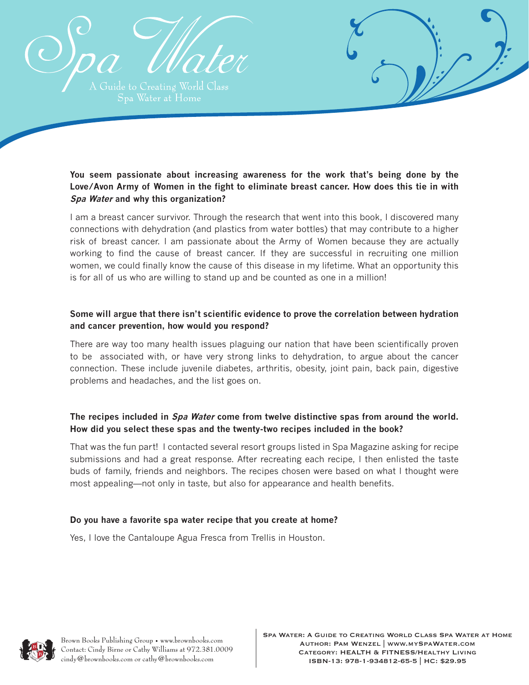



I am a breast cancer survivor. Through the research that went into this book, I discovered many connections with dehydration (and plastics from water bottles) that may contribute to a higher risk of breast cancer. I am passionate about the Army of Women because they are actually working to find the cause of breast cancer. If they are successful in recruiting one million women, we could finally know the cause of this disease in my lifetime. What an opportunity this is for all of us who are willing to stand up and be counted as one in a million!

## **Some will argue that there isn't scientific evidence to prove the correlation between hydration and cancer prevention, how would you respond?**

There are way too many health issues plaguing our nation that have been scientifically proven to be associated with, or have very strong links to dehydration, to argue about the cancer connection. These include juvenile diabetes, arthritis, obesity, joint pain, back pain, digestive problems and headaches, and the list goes on.

# **The recipes included in Spa Water come from twelve distinctive spas from around the world. How did you select these spas and the twenty-two recipes included in the book?**

That was the fun part! I contacted several resort groups listed in Spa Magazine asking for recipe submissions and had a great response. After recreating each recipe, I then enlisted the taste buds of family, friends and neighbors. The recipes chosen were based on what I thought were most appealing—not only in taste, but also for appearance and health benefits.

## **Do you have a favorite spa water recipe that you create at home?**

Yes, I love the Cantaloupe Agua Fresca from Trellis in Houston.